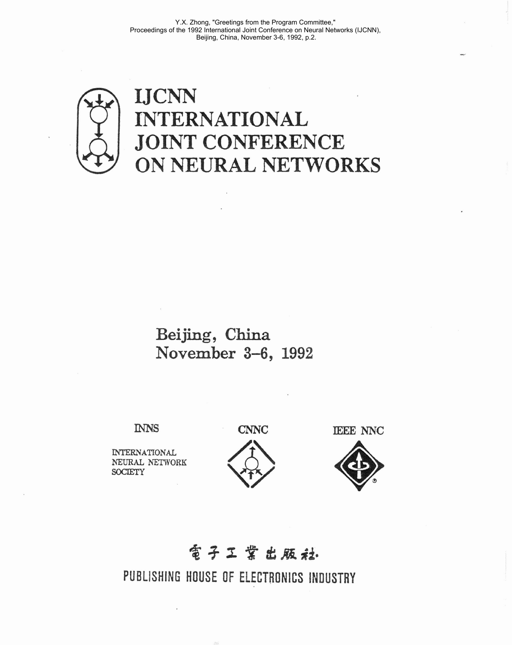

## **Bei jing** , **China November 3-6, 1992**

**INTERNATIONAL h'EURAL NETWORK SOCIETY** 





## **電子工業出販社**

PUBLISHING HOUSE OF ELECTRONICS **INDUSTRY**